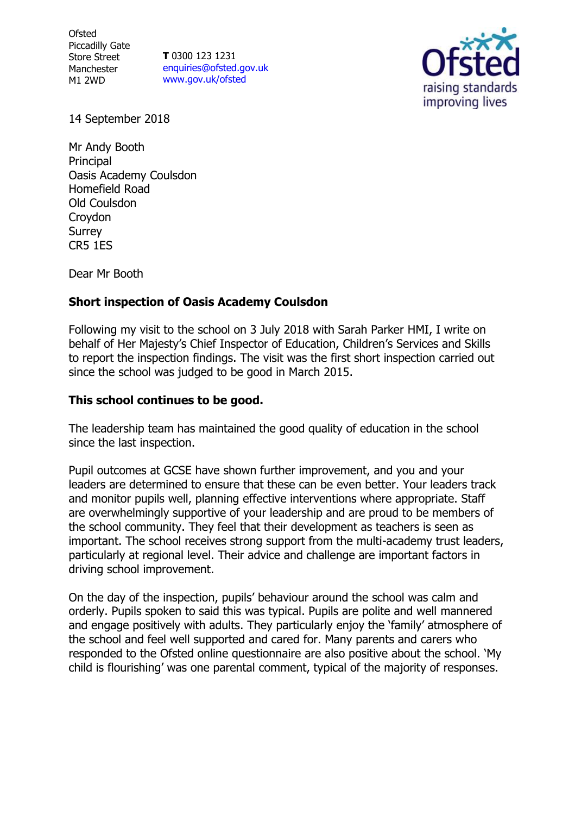**Ofsted** Piccadilly Gate Store Street Manchester M1 2WD

**T** 0300 123 1231 [enquiries@ofsted.gov.uk](mailto:enquiries@ofsted.gov.uk) [www.gov.uk/ofsted](http://www.gov.uk/ofsted)



14 September 2018

Mr Andy Booth Principal Oasis Academy Coulsdon Homefield Road Old Coulsdon Croydon Surrey CR5 1ES

Dear Mr Booth

# **Short inspection of Oasis Academy Coulsdon**

Following my visit to the school on 3 July 2018 with Sarah Parker HMI, I write on behalf of Her Majesty's Chief Inspector of Education, Children's Services and Skills to report the inspection findings. The visit was the first short inspection carried out since the school was judged to be good in March 2015.

# **This school continues to be good.**

The leadership team has maintained the good quality of education in the school since the last inspection.

Pupil outcomes at GCSE have shown further improvement, and you and your leaders are determined to ensure that these can be even better. Your leaders track and monitor pupils well, planning effective interventions where appropriate. Staff are overwhelmingly supportive of your leadership and are proud to be members of the school community. They feel that their development as teachers is seen as important. The school receives strong support from the multi-academy trust leaders, particularly at regional level. Their advice and challenge are important factors in driving school improvement.

On the day of the inspection, pupils' behaviour around the school was calm and orderly. Pupils spoken to said this was typical. Pupils are polite and well mannered and engage positively with adults. They particularly enjoy the 'family' atmosphere of the school and feel well supported and cared for. Many parents and carers who responded to the Ofsted online questionnaire are also positive about the school. 'My child is flourishing' was one parental comment, typical of the majority of responses.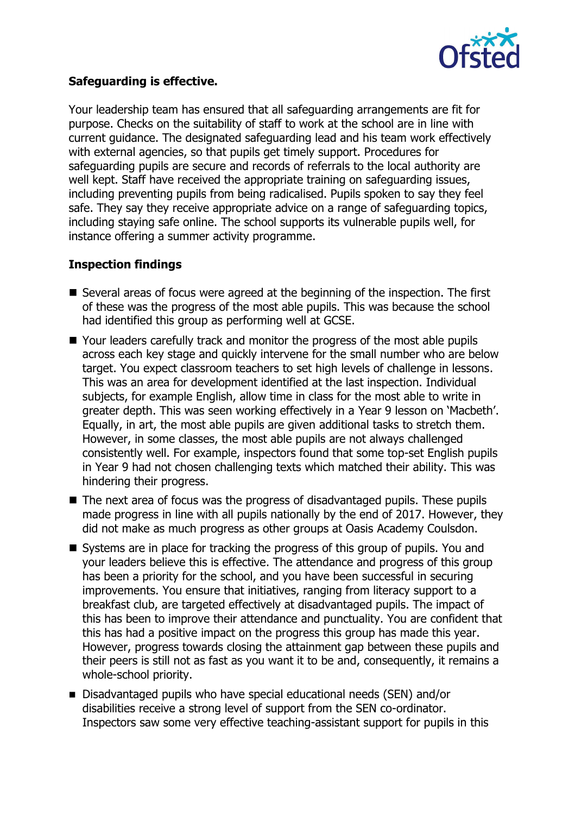

# **Safeguarding is effective.**

Your leadership team has ensured that all safeguarding arrangements are fit for purpose. Checks on the suitability of staff to work at the school are in line with current guidance. The designated safeguarding lead and his team work effectively with external agencies, so that pupils get timely support. Procedures for safeguarding pupils are secure and records of referrals to the local authority are well kept. Staff have received the appropriate training on safeguarding issues, including preventing pupils from being radicalised. Pupils spoken to say they feel safe. They say they receive appropriate advice on a range of safeguarding topics, including staying safe online. The school supports its vulnerable pupils well, for instance offering a summer activity programme.

# **Inspection findings**

- Several areas of focus were agreed at the beginning of the inspection. The first of these was the progress of the most able pupils. This was because the school had identified this group as performing well at GCSE.
- Your leaders carefully track and monitor the progress of the most able pupils across each key stage and quickly intervene for the small number who are below target. You expect classroom teachers to set high levels of challenge in lessons. This was an area for development identified at the last inspection. Individual subjects, for example English, allow time in class for the most able to write in greater depth. This was seen working effectively in a Year 9 lesson on 'Macbeth'. Equally, in art, the most able pupils are given additional tasks to stretch them. However, in some classes, the most able pupils are not always challenged consistently well. For example, inspectors found that some top-set English pupils in Year 9 had not chosen challenging texts which matched their ability. This was hindering their progress.
- The next area of focus was the progress of disadvantaged pupils. These pupils made progress in line with all pupils nationally by the end of 2017. However, they did not make as much progress as other groups at Oasis Academy Coulsdon.
- Systems are in place for tracking the progress of this group of pupils. You and your leaders believe this is effective. The attendance and progress of this group has been a priority for the school, and you have been successful in securing improvements. You ensure that initiatives, ranging from literacy support to a breakfast club, are targeted effectively at disadvantaged pupils. The impact of this has been to improve their attendance and punctuality. You are confident that this has had a positive impact on the progress this group has made this year. However, progress towards closing the attainment gap between these pupils and their peers is still not as fast as you want it to be and, consequently, it remains a whole-school priority.
- Disadvantaged pupils who have special educational needs (SEN) and/or disabilities receive a strong level of support from the SEN co-ordinator. Inspectors saw some very effective teaching-assistant support for pupils in this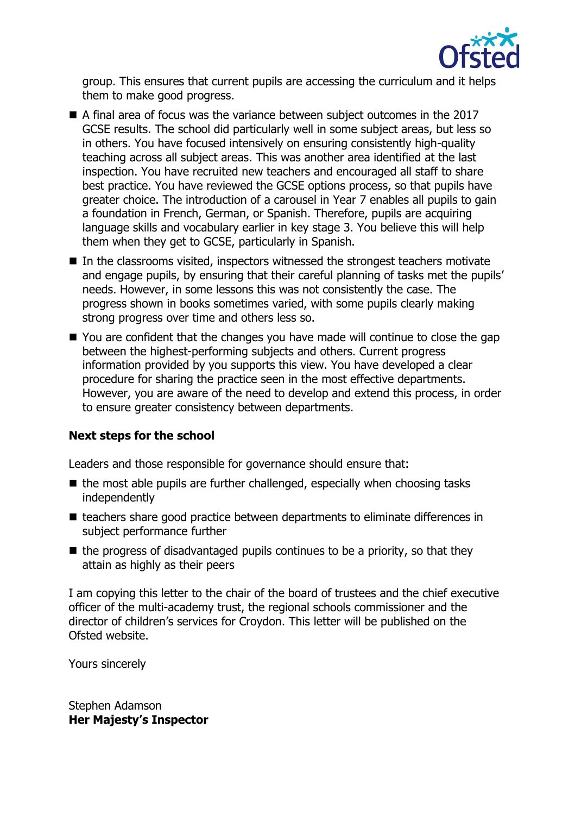

group. This ensures that current pupils are accessing the curriculum and it helps them to make good progress.

- A final area of focus was the variance between subject outcomes in the 2017 GCSE results. The school did particularly well in some subject areas, but less so in others. You have focused intensively on ensuring consistently high-quality teaching across all subject areas. This was another area identified at the last inspection. You have recruited new teachers and encouraged all staff to share best practice. You have reviewed the GCSE options process, so that pupils have greater choice. The introduction of a carousel in Year 7 enables all pupils to gain a foundation in French, German, or Spanish. Therefore, pupils are acquiring language skills and vocabulary earlier in key stage 3. You believe this will help them when they get to GCSE, particularly in Spanish.
- $\blacksquare$  In the classrooms visited, inspectors witnessed the strongest teachers motivate and engage pupils, by ensuring that their careful planning of tasks met the pupils' needs. However, in some lessons this was not consistently the case. The progress shown in books sometimes varied, with some pupils clearly making strong progress over time and others less so.
- You are confident that the changes you have made will continue to close the gap between the highest-performing subjects and others. Current progress information provided by you supports this view. You have developed a clear procedure for sharing the practice seen in the most effective departments. However, you are aware of the need to develop and extend this process, in order to ensure greater consistency between departments.

# **Next steps for the school**

Leaders and those responsible for governance should ensure that:

- $\blacksquare$  the most able pupils are further challenged, especially when choosing tasks independently
- teachers share good practice between departments to eliminate differences in subject performance further
- $\blacksquare$  the progress of disadvantaged pupils continues to be a priority, so that they attain as highly as their peers

I am copying this letter to the chair of the board of trustees and the chief executive officer of the multi-academy trust, the regional schools commissioner and the director of children's services for Croydon. This letter will be published on the Ofsted website.

Yours sincerely

Stephen Adamson **Her Majesty's Inspector**